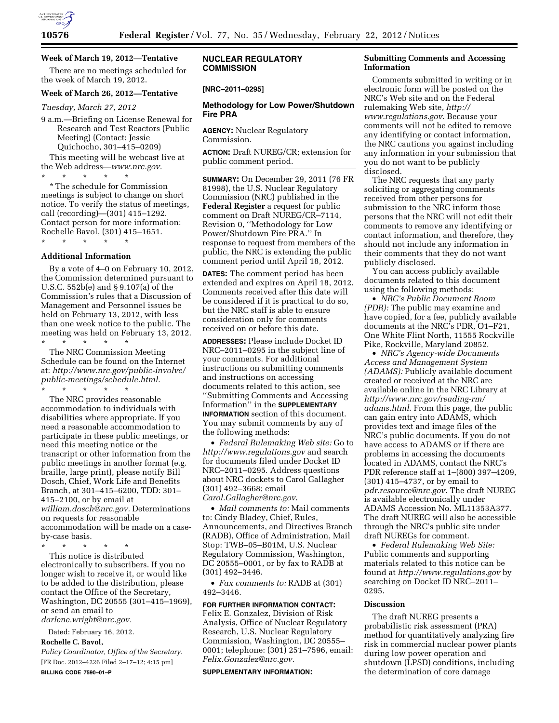

# **Week of March 19, 2012—Tentative**

There are no meetings scheduled for the week of March 19, 2012.

## **Week of March 26, 2012—Tentative**

*Tuesday, March 27, 2012* 

9 a.m.—Briefing on License Renewal for Research and Test Reactors (Public Meeting) (Contact: Jessie Quichocho, 301–415–0209) This meeting will be webcast live at the Web address—*[www.nrc.gov.](http://www.nrc.gov)* 

\* \* \* \* \* \* The schedule for Commission meetings is subject to change on short notice. To verify the status of meetings, call (recording)—(301) 415–1292. Contact person for more information: Rochelle Bavol, (301) 415–1651. \* \* \* \* \*

#### **Additional Information**

By a vote of 4–0 on February 10, 2012, the Commission determined pursuant to U.S.C. 552b(e) and § 9.107(a) of the Commission's rules that a Discussion of Management and Personnel issues be held on February 13, 2012, with less than one week notice to the public. The meeting was held on February 13, 2012.

\* \* \* \* \* The NRC Commission Meeting Schedule can be found on the Internet at: *[http://www.nrc.gov/public-involve/](http://www.nrc.gov/public-involve/public-meetings/schedule.html) [public-meetings/schedule.html.](http://www.nrc.gov/public-involve/public-meetings/schedule.html)*  \* \* \* \* \*

The NRC provides reasonable accommodation to individuals with disabilities where appropriate. If you need a reasonable accommodation to participate in these public meetings, or need this meeting notice or the transcript or other information from the public meetings in another format (e.g. braille, large print), please notify Bill Dosch, Chief, Work Life and Benefits Branch, at 301–415–6200, TDD: 301– 415–2100, or by email at *[william.dosch@nrc.gov.](mailto:william.dosch@nrc.gov)* Determinations

on requests for reasonable accommodation will be made on a caseby-case basis.

\* \* \* \* \*

This notice is distributed electronically to subscribers. If you no longer wish to receive it, or would like to be added to the distribution, please contact the Office of the Secretary, Washington, DC 20555 (301–415–1969), or send an email to *[darlene.wright@nrc.gov.](mailto:darlene.wright@nrc.gov)* 

Dated: February 16, 2012. **Rochelle C. Bavol,**  *Policy Coordinator, Office of the Secretary.* 

[FR Doc. 2012–4226 Filed 2–17–12; 4:15 pm] **BILLING CODE 7590–01–P** 

# **NUCLEAR REGULATORY COMMISSION**

# **[NRC–2011–0295]**

## **Methodology for Low Power/Shutdown Fire PRA**

**AGENCY:** Nuclear Regulatory Commission.

**ACTION:** Draft NUREG/CR; extension for public comment period.

**SUMMARY:** On December 29, 2011 (76 FR 81998), the U.S. Nuclear Regulatory Commission (NRC) published in the **Federal Register** a request for public comment on Draft NUREG/CR–7114, Revision 0, ''Methodology for Low Power/Shutdown Fire PRA.'' In response to request from members of the public, the NRC is extending the public comment period until April 18, 2012.

**DATES:** The comment period has been extended and expires on April 18, 2012. Comments received after this date will be considered if it is practical to do so, but the NRC staff is able to ensure consideration only for comments received on or before this date.

**ADDRESSES:** Please include Docket ID NRC–2011–0295 in the subject line of your comments. For additional instructions on submitting comments and instructions on accessing documents related to this action, see ''Submitting Comments and Accessing Information'' in the **SUPPLEMENTARY INFORMATION** section of this document. You may submit comments by any of the following methods:

• *Federal Rulemaking Web site:* Go to *<http://www.regulations.gov>* and search for documents filed under Docket ID NRC–2011–0295. Address questions about NRC dockets to Carol Gallagher (301) 492–3668; email *[Carol.Gallagher@nrc.gov](mailto:Carol.Gallagher@nrc.gov)*.

• *Mail comments to:* Mail comments to: Cindy Bladey, Chief, Rules, Announcements, and Directives Branch (RADB), Office of Administration, Mail Stop: TWB–05–B01M, U.S. Nuclear Regulatory Commission, Washington, DC 20555–0001, or by fax to RADB at (301) 492–3446.

• *Fax comments to:* RADB at (301) 492–3446.

# **FOR FURTHER INFORMATION CONTACT:**

Felix E. Gonzalez, Division of Risk Analysis, Office of Nuclear Regulatory Research, U.S. Nuclear Regulatory Commission, Washington, DC 20555– 0001; telephone: (301) 251–7596, email: *[Felix.Gonzalez@nrc.gov](mailto:Felix.Gonzalez@nrc.gov)*.

#### **SUPPLEMENTARY INFORMATION:**

## **Submitting Comments and Accessing Information**

Comments submitted in writing or in electronic form will be posted on the NRC's Web site and on the Federal rulemaking Web site, *[http://](http://www.regulations.gov) [www.regulations.gov](http://www.regulations.gov)*. Because your comments will not be edited to remove any identifying or contact information, the NRC cautions you against including any information in your submission that you do not want to be publicly disclosed.

The NRC requests that any party soliciting or aggregating comments received from other persons for submission to the NRC inform those persons that the NRC will not edit their comments to remove any identifying or contact information, and therefore, they should not include any information in their comments that they do not want publicly disclosed.

You can access publicly available documents related to this document using the following methods:

• *NRC's Public Document Room (PDR):* The public may examine and have copied, for a fee, publicly available documents at the NRC's PDR, O1–F21, One White Flint North, 11555 Rockville Pike, Rockville, Maryland 20852.

• *NRC's Agency-wide Documents Access and Management System (ADAMS):* Publicly available document created or received at the NRC are available online in the NRC Library at *[http://www.nrc.gov/reading-rm/](http://www.nrc.gov/reading-rm/adams.html)  [adams.html](http://www.nrc.gov/reading-rm/adams.html)*. From this page, the public can gain entry into ADAMS, which provides text and image files of the NRC's public documents. If you do not have access to ADAMS or if there are problems in accessing the documents located in ADAMS, contact the NRC's PDR reference staff at 1–(800) 397–4209, (301) 415–4737, or by email to *[pdr.resource@nrc.gov](mailto:pdr.resource@nrc.gov)*. The draft NUREG is available electronically under ADAMS Accession No. ML11353A377. The draft NUREG will also be accessible through the NRC's public site under draft NUREGs for comment.

• *Federal Rulemaking Web Site:*  Public comments and supporting materials related to this notice can be found at *<http://www.regulations.gov>* by searching on Docket ID NRC-2011-0295.

#### **Discussion**

The draft NUREG presents a probabilistic risk assessment (PRA) method for quantitatively analyzing fire risk in commercial nuclear power plants during low power operation and shutdown (LPSD) conditions, including the determination of core damage